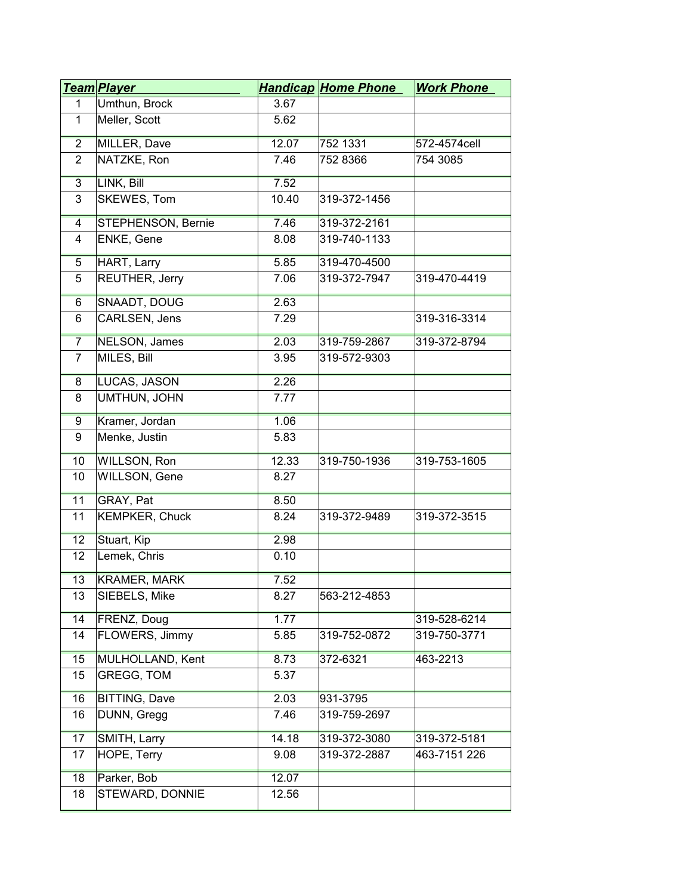|                | <u>Team Player</u>    |       | <b>Handicap Home Phone</b> | <b>Work Phone</b> |
|----------------|-----------------------|-------|----------------------------|-------------------|
| 1              | Umthun, Brock         | 3.67  |                            |                   |
| 1              | Meller, Scott         | 5.62  |                            |                   |
| $\overline{2}$ | MILLER, Dave          | 12.07 | 752 1331                   | 572-4574cell      |
| $\overline{2}$ | NATZKE, Ron           | 7.46  | 752 8366                   | 754 3085          |
| $\overline{3}$ | LINK, Bill            | 7.52  |                            |                   |
| 3              | SKEWES, Tom           | 10.40 | 319-372-1456               |                   |
| $\overline{4}$ | STEPHENSON, Bernie    | 7.46  | 319-372-2161               |                   |
| 4              | ENKE, Gene            | 8.08  | 319-740-1133               |                   |
| 5              | <b>HART, Larry</b>    | 5.85  | 319-470-4500               |                   |
| 5              | REUTHER, Jerry        | 7.06  | 319-372-7947               | 319-470-4419      |
| $6\overline{}$ | <b>SNAADT, DOUG</b>   | 2.63  |                            |                   |
| 6              | CARLSEN, Jens         | 7.29  |                            | 319-316-3314      |
| $\overline{7}$ | <b>NELSON, James</b>  | 2.03  | 319-759-2867               | 319-372-8794      |
| $\overline{7}$ | MILES, Bill           | 3.95  | 319-572-9303               |                   |
| 8              | LUCAS, JASON          | 2.26  |                            |                   |
| 8              | UMTHUN, JOHN          | 7.77  |                            |                   |
| $\overline{9}$ | Kramer, Jordan        | 1.06  |                            |                   |
| 9              | Menke, Justin         | 5.83  |                            |                   |
| 10             | WILLSON, Ron          | 12.33 | 319-750-1936               | 319-753-1605      |
| 10             | WILLSON, Gene         | 8.27  |                            |                   |
| 11             | GRAY, Pat             | 8.50  |                            |                   |
| 11             | <b>KEMPKER, Chuck</b> | 8.24  | 319-372-9489               | 319-372-3515      |
| 12             | Stuart, Kip           | 2.98  |                            |                   |
| 12             | Lemek, Chris          | 0.10  |                            |                   |
| 13             | <b>KRAMER, MARK</b>   | 7.52  |                            |                   |
| 13             | SIEBELS, Mike         | 8.27  | 563-212-4853               |                   |
| 14             | FRENZ, Doug           | 1.77  |                            | 319-528-6214      |
| 14             | FLOWERS, Jimmy        | 5.85  | 319-752-0872               | 319-750-3771      |
| 15             | MULHOLLAND, Kent      | 8.73  | 372-6321                   | 463-2213          |
| 15             | <b>GREGG, TOM</b>     | 5.37  |                            |                   |
| 16             | <b>BITTING, Dave</b>  | 2.03  | 931-3795                   |                   |
| 16             | DUNN, Gregg           | 7.46  | 319-759-2697               |                   |
| 17             | SMITH, Larry          | 14.18 | 319-372-3080               | 319-372-5181      |
| 17             | HOPE, Terry           | 9.08  | 319-372-2887               | 463-7151 226      |
| 18             | Parker, Bob           | 12.07 |                            |                   |
| 18             | STEWARD, DONNIE       | 12.56 |                            |                   |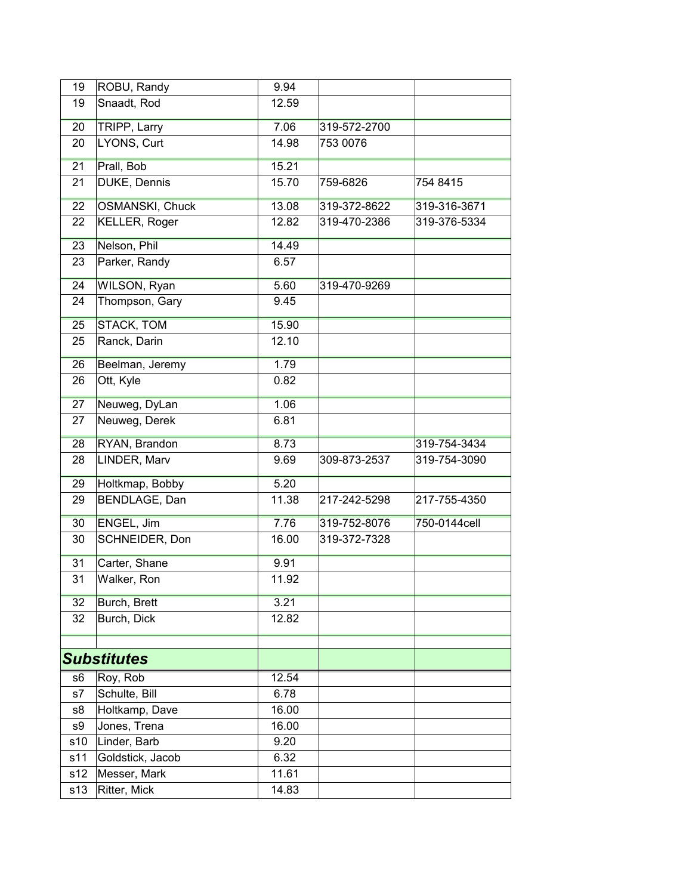| 19             | ROBU, Randy            | 9.94  |              |              |
|----------------|------------------------|-------|--------------|--------------|
| 19             | Snaadt, Rod            | 12.59 |              |              |
| 20             | <b>TRIPP, Larry</b>    | 7.06  | 319-572-2700 |              |
| 20             | LYONS, Curt            | 14.98 | 753 0076     |              |
| 21             | Prall, Bob             | 15.21 |              |              |
| 21             | DUKE, Dennis           | 15.70 | 759-6826     | 754 8415     |
| 22             | <b>OSMANSKI, Chuck</b> | 13.08 | 319-372-8622 | 319-316-3671 |
| 22             | <b>KELLER, Roger</b>   | 12.82 | 319-470-2386 | 319-376-5334 |
| 23             | Nelson, Phil           | 14.49 |              |              |
| 23             | Parker, Randy          | 6.57  |              |              |
| 24             | WILSON, Ryan           | 5.60  | 319-470-9269 |              |
| 24             | Thompson, Gary         | 9.45  |              |              |
| 25             | <b>STACK, TOM</b>      | 15.90 |              |              |
| 25             | Ranck, Darin           | 12.10 |              |              |
| 26             | Beelman, Jeremy        | 1.79  |              |              |
| 26             | Ott, Kyle              | 0.82  |              |              |
| 27             | Neuweg, DyLan          | 1.06  |              |              |
| 27             | Neuweg, Derek          | 6.81  |              |              |
| 28             | RYAN, Brandon          | 8.73  |              | 319-754-3434 |
| 28             | LINDER, Marv           | 9.69  | 309-873-2537 | 319-754-3090 |
| 29             | Holtkmap, Bobby        | 5.20  |              |              |
| 29             | BENDLAGE, Dan          | 11.38 | 217-242-5298 | 217-755-4350 |
| 30             | ENGEL, Jim             | 7.76  | 319-752-8076 | 750-0144cell |
| 30             | SCHNEIDER, Don         | 16.00 | 319-372-7328 |              |
| 31             | Carter, Shane          | 9.91  |              |              |
| 31             | Walker, Ron            | 11.92 |              |              |
| 32             | Burch, Brett           | 3.21  |              |              |
| 32             | Burch, Dick            | 12.82 |              |              |
|                |                        |       |              |              |
|                | <b>Substitutes</b>     |       |              |              |
| s <sub>6</sub> | Roy, Rob               | 12.54 |              |              |
| s7             | Schulte, Bill          | 6.78  |              |              |
| s8             | Holtkamp, Dave         | 16.00 |              |              |
| s9             | Jones, Trena           | 16.00 |              |              |
| s10            | Linder, Barb           | 9.20  |              |              |
| s11            | Goldstick, Jacob       | 6.32  |              |              |
| s12            | Messer, Mark           | 11.61 |              |              |
| s13            | Ritter, Mick           | 14.83 |              |              |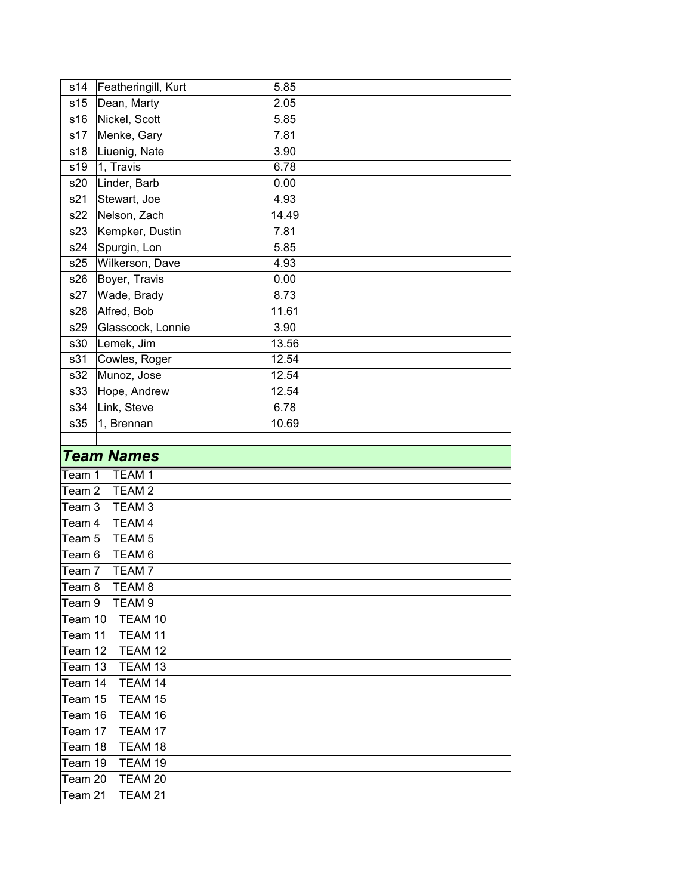| s14              | Featheringill, Kurt                    | 5.85  |  |
|------------------|----------------------------------------|-------|--|
| s <sub>15</sub>  | Dean, Marty                            | 2.05  |  |
| s16              | Nickel, Scott                          | 5.85  |  |
| s17              | Menke, Gary                            | 7.81  |  |
| s18              | Liuenig, Nate                          | 3.90  |  |
| s19              | 1, Travis                              | 6.78  |  |
| s20              | Linder, Barb                           | 0.00  |  |
| s21              | Stewart, Joe                           | 4.93  |  |
| s22              | Nelson, Zach                           | 14.49 |  |
| s23              | Kempker, Dustin                        | 7.81  |  |
| s24              | Spurgin, Lon                           | 5.85  |  |
| s25              | Wilkerson, Dave                        | 4.93  |  |
| s26              | Boyer, Travis                          | 0.00  |  |
| s27              | Wade, Brady                            | 8.73  |  |
| s28              | Alfred, Bob                            | 11.61 |  |
| s29              | Glasscock, Lonnie                      | 3.90  |  |
| s30              | Lemek, Jim                             | 13.56 |  |
| s31              | Cowles, Roger                          | 12.54 |  |
| s32              | Munoz, Jose                            | 12.54 |  |
| s33              | Hope, Andrew                           | 12.54 |  |
| s34              | Link, Steve                            | 6.78  |  |
| s35              | 1, Brennan                             | 10.69 |  |
|                  |                                        |       |  |
|                  |                                        |       |  |
|                  | <b>Team Names</b>                      |       |  |
| Team 1           | TEAM <sub>1</sub>                      |       |  |
| Team 2           | TEAM <sub>2</sub>                      |       |  |
| Team 3           | TEAM <sub>3</sub>                      |       |  |
| Team 4           | TEAM 4                                 |       |  |
| Team 5           | TEAM <sub>5</sub>                      |       |  |
| Team 6           | TEAM <sub>6</sub>                      |       |  |
| Team 7           | TEAM <sub>7</sub>                      |       |  |
|                  |                                        |       |  |
| Team 8<br>Team 9 | TEAM <sub>8</sub><br>TEAM <sub>9</sub> |       |  |
| Team 10          | TEAM 10                                |       |  |
| Team 11          | TEAM 11                                |       |  |
| Team 12          | TEAM 12                                |       |  |
| Team 13          | TEAM 13                                |       |  |
| Team 14          | TEAM 14                                |       |  |
| Team 15          | TEAM 15                                |       |  |
| Team 16          | TEAM 16                                |       |  |
| Team 17          | TEAM 17                                |       |  |
| Team 18          | TEAM 18                                |       |  |
| Team 19          | TEAM 19                                |       |  |
| Team 20          | TEAM 20                                |       |  |